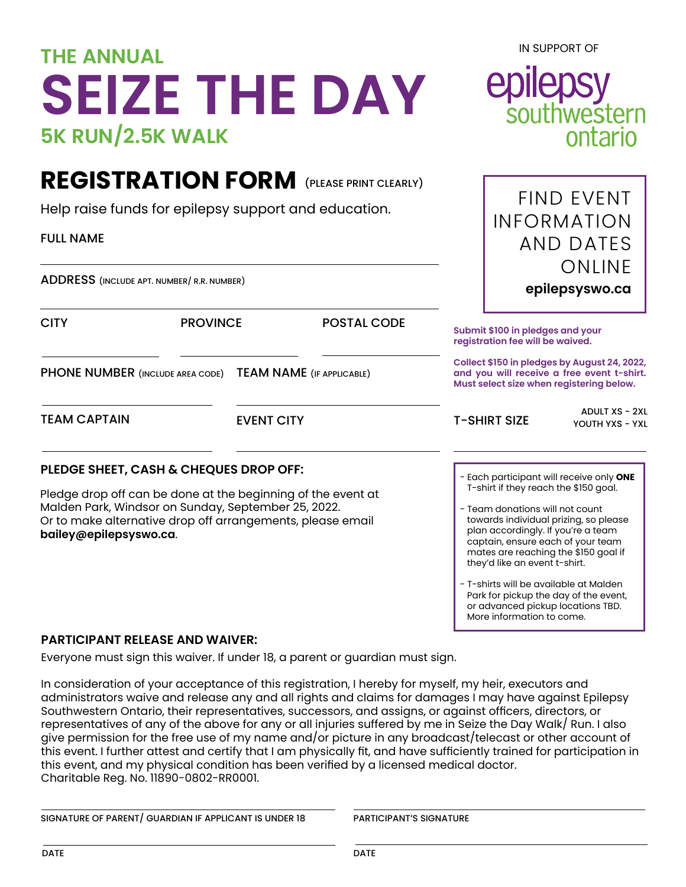## **THE ANNUAL SEIZE THE DAY 5K RUN/2.5K WALK**

## **REGISTRATION FORM** (PLEASE PRINT CLEARLY)

Help raise funds for epilepsy support and education. FIND EVENT

ADDRESS (INCLUDE APT. NUMBER/ R.R. NUMBER)

CITY PROVINCE POSTAL CODE PHONE NUMBER (INCLUDE AREA CODE) TEAM NAME (IF APPLICABLE) **PLEDGE SHEET, CASH & CHEQUES DROP OFF:** Pledge drop off can be done at the beginning of the event at Malden Park, Windsor on Sunday, September 25, 2022. Or to make alternative drop off arrangements, please email **bailey@epilepsyswo.ca**. TEAM CAPTAIN EVENT CITY T-SHIRT SIZE - Each participant will receive only **ONE** T-shirt if they reach the \$150 goal. - Team donations will not count towards individual prizing, so please plan accordingly. If you're a team captain, ensure each of your team mates are reaching the \$150 goal if they'd like an event t-shirt. ADULT XS - 2XL YOUTH YXS - YXL **Submit \$100 in pledges and your registration fee will be waived. Collect \$150 in pledges by August 24, 2022, and you will receive a free event t-shirt. Must select size when registering below.**

> - T-shirts will be available at Malden Park for pickup the day of the event, or advanced pickup locations TBD. More information to come.

## **PARTICIPANT RELEASE AND WAIVER:**

Everyone must sign this waiver. If under 18, a parent or guardian must sign.

In consideration of your acceptance of this registration, I hereby for myself, my heir, executors and administrators waive and release any and all rights and claims for damages I may have against Epilepsy Southwestern Ontario, their representatives, successors, and assigns, or against officers, directors, or representatives of any of the above for any or all injuries suffered by me in Seize the Day Walk/ Run. I also give permission for the free use of my name and/or picture in any broadcast/telecast or other account of this event. I further attest and certify that I am physically fit, and have sufficiently trained for participation in this event, and my physical condition has been verified by a licensed medical doctor. Charitable Reg. No. 11890-0802-RR0001.

| SIGNATURE OF PARENT/ GUARDIAN IF APPLICANT IS UNDER 18 |
|--------------------------------------------------------|
|--------------------------------------------------------|

PARTICIPANT'S SIGNATURE

IN SUPPORT OF



INFORMATION

AND DATES

**epilepsyswo.ca**

ONLINE